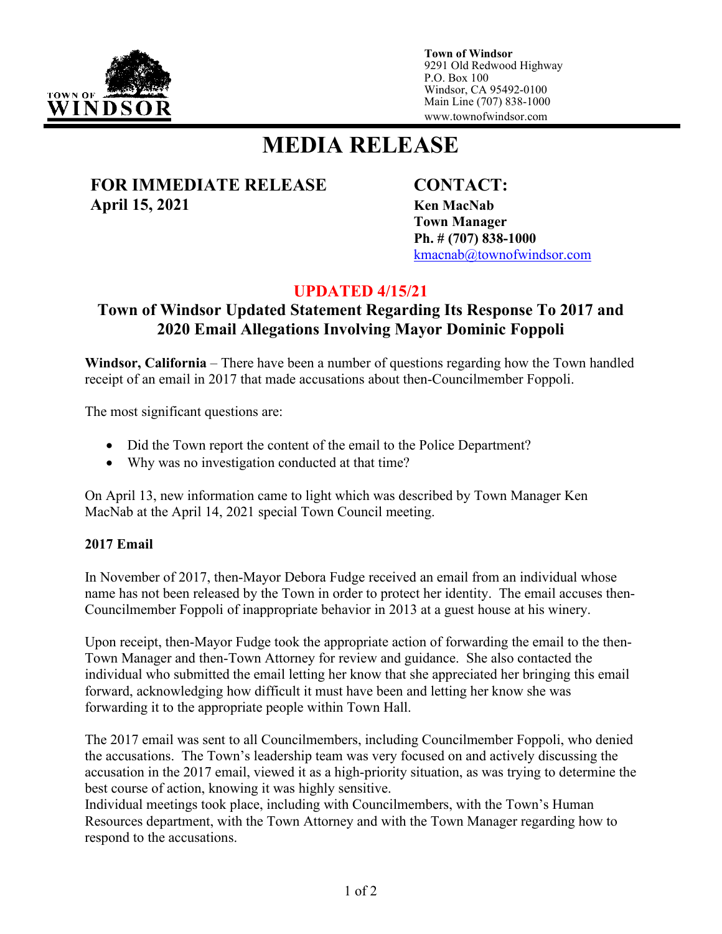

**Town of Windsor** 9291 Old Redwood Highway P.O. Box 100 Windsor, CA 95492-0100 Main Line (707) 838-1000 www.townofwindsor.com

# **MEDIA RELEASE**

### **FOR IMMEDIATE RELEASE CONTACT: April 15, 2021 Ken MacNab**

**Town Manager Ph. # (707) 838-1000** [kmacnab@townofwindsor.com](mailto:kmacnab@townofwindsor.com)

## **UPDATED 4/15/21**

## **Town of Windsor Updated Statement Regarding Its Response To 2017 and 2020 Email Allegations Involving Mayor Dominic Foppoli**

**Windsor, California** – There have been a number of questions regarding how the Town handled receipt of an email in 2017 that made accusations about then-Councilmember Foppoli.

The most significant questions are:

- Did the Town report the content of the email to the Police Department?
- Why was no investigation conducted at that time?

On April 13, new information came to light which was described by Town Manager Ken MacNab at the April 14, 2021 special Town Council meeting.

#### **2017 Email**

In November of 2017, then-Mayor Debora Fudge received an email from an individual whose name has not been released by the Town in order to protect her identity. The email accuses then-Councilmember Foppoli of inappropriate behavior in 2013 at a guest house at his winery.

Upon receipt, then-Mayor Fudge took the appropriate action of forwarding the email to the then-Town Manager and then-Town Attorney for review and guidance. She also contacted the individual who submitted the email letting her know that she appreciated her bringing this email forward, acknowledging how difficult it must have been and letting her know she was forwarding it to the appropriate people within Town Hall.

The 2017 email was sent to all Councilmembers, including Councilmember Foppoli, who denied the accusations. The Town's leadership team was very focused on and actively discussing the accusation in the 2017 email, viewed it as a high-priority situation, as was trying to determine the best course of action, knowing it was highly sensitive.

Individual meetings took place, including with Councilmembers, with the Town's Human Resources department, with the Town Attorney and with the Town Manager regarding how to respond to the accusations.